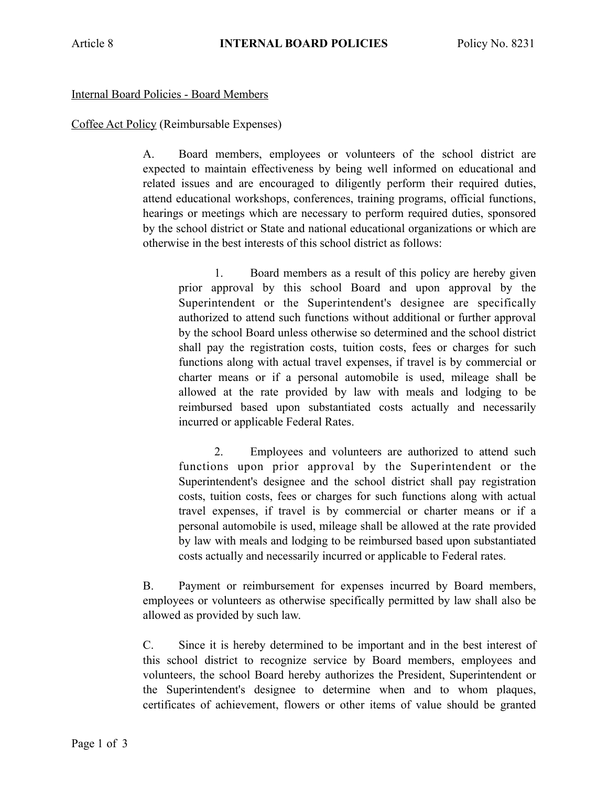## Internal Board Policies - Board Members

## Coffee Act Policy (Reimbursable Expenses)

 A. Board members, employees or volunteers of the school district are expected to maintain effectiveness by being well informed on educational and related issues and are encouraged to diligently perform their required duties, attend educational workshops, conferences, training programs, official functions, hearings or meetings which are necessary to perform required duties, sponsored by the school district or State and national educational organizations or which are otherwise in the best interests of this school district as follows:

 1. Board members as a result of this policy are hereby given prior approval by this school Board and upon approval by the Superintendent or the Superintendent's designee are specifically authorized to attend such functions without additional or further approval by the school Board unless otherwise so determined and the school district shall pay the registration costs, tuition costs, fees or charges for such functions along with actual travel expenses, if travel is by commercial or charter means or if a personal automobile is used, mileage shall be allowed at the rate provided by law with meals and lodging to be reimbursed based upon substantiated costs actually and necessarily incurred or applicable Federal Rates.

 2. Employees and volunteers are authorized to attend such functions upon prior approval by the Superintendent or the Superintendent's designee and the school district shall pay registration costs, tuition costs, fees or charges for such functions along with actual travel expenses, if travel is by commercial or charter means or if a personal automobile is used, mileage shall be allowed at the rate provided by law with meals and lodging to be reimbursed based upon substantiated costs actually and necessarily incurred or applicable to Federal rates.

 B. Payment or reimbursement for expenses incurred by Board members, employees or volunteers as otherwise specifically permitted by law shall also be allowed as provided by such law.

 C. Since it is hereby determined to be important and in the best interest of this school district to recognize service by Board members, employees and volunteers, the school Board hereby authorizes the President, Superintendent or the Superintendent's designee to determine when and to whom plaques, certificates of achievement, flowers or other items of value should be granted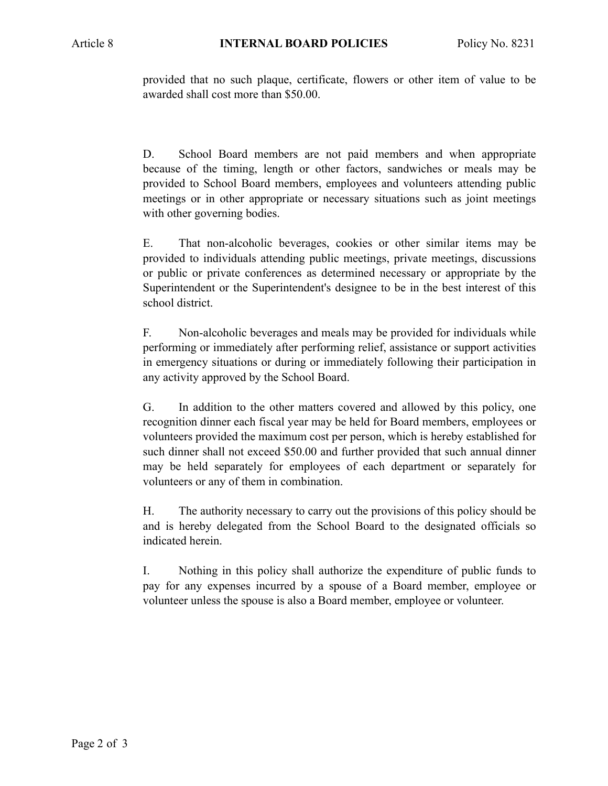provided that no such plaque, certificate, flowers or other item of value to be awarded shall cost more than \$50.00.

 D. School Board members are not paid members and when appropriate because of the timing, length or other factors, sandwiches or meals may be provided to School Board members, employees and volunteers attending public meetings or in other appropriate or necessary situations such as joint meetings with other governing bodies.

 E. That non-alcoholic beverages, cookies or other similar items may be provided to individuals attending public meetings, private meetings, discussions or public or private conferences as determined necessary or appropriate by the Superintendent or the Superintendent's designee to be in the best interest of this school district.

 F. Non-alcoholic beverages and meals may be provided for individuals while performing or immediately after performing relief, assistance or support activities in emergency situations or during or immediately following their participation in any activity approved by the School Board.

 G. In addition to the other matters covered and allowed by this policy, one recognition dinner each fiscal year may be held for Board members, employees or volunteers provided the maximum cost per person, which is hereby established for such dinner shall not exceed \$50.00 and further provided that such annual dinner may be held separately for employees of each department or separately for volunteers or any of them in combination.

 H. The authority necessary to carry out the provisions of this policy should be and is hereby delegated from the School Board to the designated officials so indicated herein.

 I. Nothing in this policy shall authorize the expenditure of public funds to pay for any expenses incurred by a spouse of a Board member, employee or volunteer unless the spouse is also a Board member, employee or volunteer.